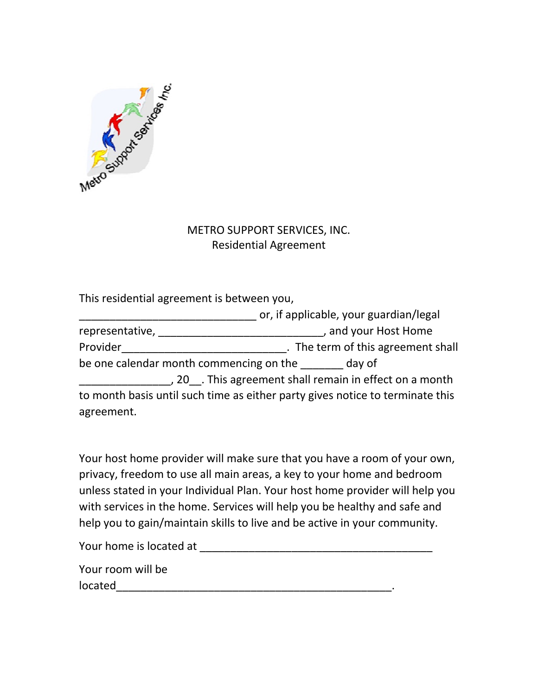

## METRO SUPPORT SERVICES, INC. Residential Agreement

This residential agreement is between you,

|                                                       |                                         | or, if applicable, your guardian/legal                                        |
|-------------------------------------------------------|-----------------------------------------|-------------------------------------------------------------------------------|
| representative,                                       |                                         | , and your Host Home                                                          |
| Provider                                              |                                         | . The term of this agreement shall                                            |
|                                                       | be one calendar month commencing on the | day of                                                                        |
| , 20 This agreement shall remain in effect on a month |                                         |                                                                               |
|                                                       |                                         | to month basis until such time as either party gives notice to terminate this |
| agreement.                                            |                                         |                                                                               |

Your host home provider will make sure that you have a room of your own, privacy, freedom to use all main areas, a key to your home and bedroom unless stated in your Individual Plan. Your host home provider will help you with services in the home. Services will help you be healthy and safe and help you to gain/maintain skills to live and be active in your community.

Your home is located at \_\_\_\_\_\_\_\_\_\_\_\_\_\_\_\_\_\_\_\_\_\_\_\_\_\_\_\_\_\_\_\_\_\_\_\_\_\_

Your room will be located\_\_\_\_\_\_\_\_\_\_\_\_\_\_\_\_\_\_\_\_\_\_\_\_\_\_\_\_\_\_\_\_\_\_\_\_\_\_\_\_\_\_\_\_\_.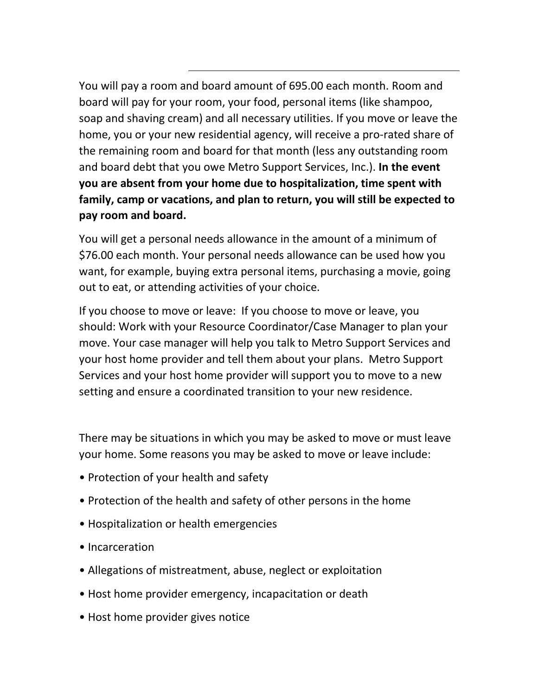You will pay a room and board amount of 695.00 each month. Room and board will pay for your room, your food, personal items (like shampoo, soap and shaving cream) and all necessary utilities. If you move or leave the home, you or your new residential agency, will receive a pro-rated share of the remaining room and board for that month (less any outstanding room and board debt that you owe Metro Support Services, Inc.). **In the event you are absent from your home due to hospitalization, time spent with family, camp or vacations, and plan to return, you will still be expected to pay room and board.**

You will get a personal needs allowance in the amount of a minimum of \$76.00 each month. Your personal needs allowance can be used how you want, for example, buying extra personal items, purchasing a movie, going out to eat, or attending activities of your choice.

If you choose to move or leave: If you choose to move or leave, you should: Work with your Resource Coordinator/Case Manager to plan your move. Your case manager will help you talk to Metro Support Services and your host home provider and tell them about your plans. Metro Support Services and your host home provider will support you to move to a new setting and ensure a coordinated transition to your new residence.

There may be situations in which you may be asked to move or must leave your home. Some reasons you may be asked to move or leave include:

- Protection of your health and safety
- Protection of the health and safety of other persons in the home
- Hospitalization or health emergencies
- Incarceration
- Allegations of mistreatment, abuse, neglect or exploitation
- Host home provider emergency, incapacitation or death
- Host home provider gives notice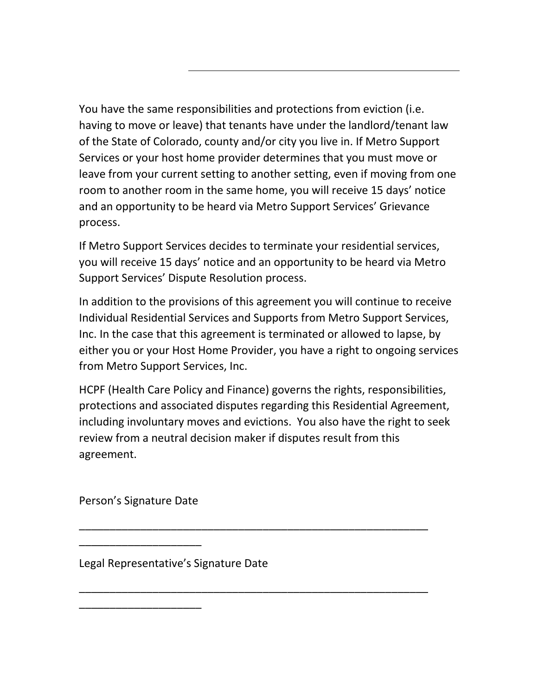You have the same responsibilities and protections from eviction (i.e. having to move or leave) that tenants have under the landlord/tenant law of the State of Colorado, county and/or city you live in. If Metro Support Services or your host home provider determines that you must move or leave from your current setting to another setting, even if moving from one room to another room in the same home, you will receive 15 days' notice and an opportunity to be heard via Metro Support Services' Grievance process.

If Metro Support Services decides to terminate your residential services, you will receive 15 days' notice and an opportunity to be heard via Metro Support Services' Dispute Resolution process.

In addition to the provisions of this agreement you will continue to receive Individual Residential Services and Supports from Metro Support Services, Inc. In the case that this agreement is terminated or allowed to lapse, by either you or your Host Home Provider, you have a right to ongoing services from Metro Support Services, Inc.

HCPF (Health Care Policy and Finance) governs the rights, responsibilities, protections and associated disputes regarding this Residential Agreement, including involuntary moves and evictions. You also have the right to seek review from a neutral decision maker if disputes result from this agreement.

\_\_\_\_\_\_\_\_\_\_\_\_\_\_\_\_\_\_\_\_\_\_\_\_\_\_\_\_\_\_\_\_\_\_\_\_\_\_\_\_\_\_\_\_\_\_\_\_\_\_\_\_\_\_\_\_\_

\_\_\_\_\_\_\_\_\_\_\_\_\_\_\_\_\_\_\_\_\_\_\_\_\_\_\_\_\_\_\_\_\_\_\_\_\_\_\_\_\_\_\_\_\_\_\_\_\_\_\_\_\_\_\_\_\_

Person's Signature Date

\_\_\_\_\_\_\_\_\_\_\_\_\_\_\_\_\_\_\_\_

\_\_\_\_\_\_\_\_\_\_\_\_\_\_\_\_\_\_\_\_

Legal Representative's Signature Date